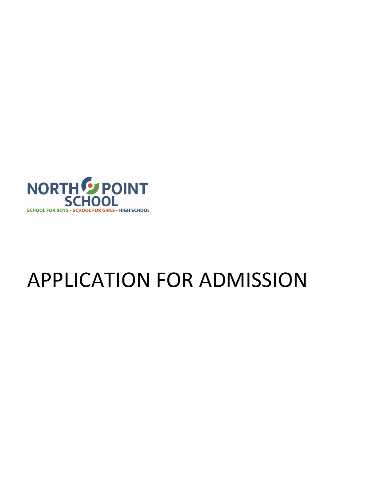

# APPLICATION FOR ADMISSION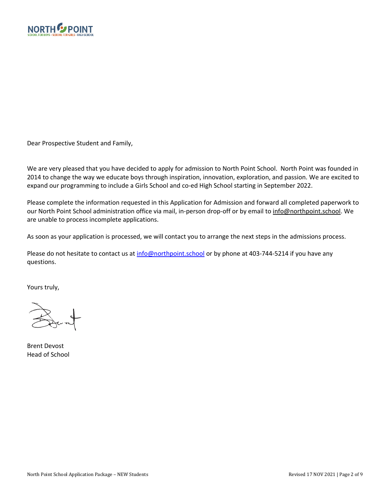

Dear Prospective Student and Family,

We are very pleased that you have decided to apply for admission to North Point School. North Point was founded in 2014 to change the way we educate boys through inspiration, innovation, exploration, and passion. We are excited to expand our programming to include a Girls School and co-ed High School starting in September 2022.

Please complete the information requested in this Application for Admission and forward all completed paperwork to our North Point School administration office via mail, in-person drop-off or by email to info@northpoint.school. We are unable to process incomplete applications.

As soon as your application is processed, we will contact you to arrange the next steps in the admissions process.

Please do not hesitate to contact us at info@northpoint.school or by phone at 403-744-5214 if you have any questions.

Yours truly,

Brent Devost Head of School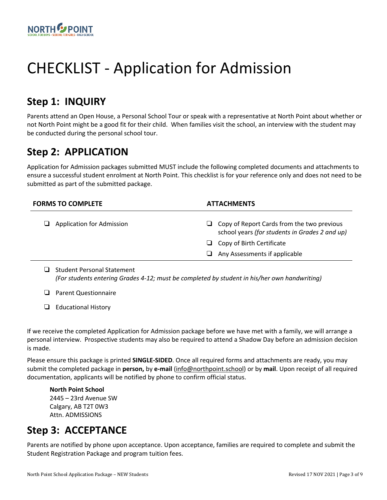

# CHECKLIST - Application for Admission

### **Step 1: INQUIRY**

Parents attend an Open House, a Personal School Tour or speak with a representative at North Point about whether or not North Point might be a good fit for their child. When families visit the school, an interview with the student may be conducted during the personal school tour.

### **Step 2: APPLICATION**

Application for Admission packages submitted MUST include the following completed documents and attachments to ensure a successful student enrolment at North Point. This checklist is for your reference only and does not need to be submitted as part of the submitted package.

| <b>FORMS TO COMPLETE</b>         | <b>ATTACHMENTS</b>                                                                                  |
|----------------------------------|-----------------------------------------------------------------------------------------------------|
| $\Box$ Application for Admission | $\Box$ Copy of Report Cards from the two previous<br>school years (for students in Grades 2 and up) |
|                                  | $\Box$ Copy of Birth Certificate                                                                    |
|                                  | Any Assessments if applicable<br>⊔                                                                  |
|                                  |                                                                                                     |

 $\Box$  Student Personal Statement *(For students entering Grades 4-12; must be completed by student in his/her own handwriting)*

### $\Box$  Parent Questionnaire

### $\Box$  Educational History

If we receive the completed Application for Admission package before we have met with a family, we will arrange a personal interview. Prospective students may also be required to attend a Shadow Day before an admission decision is made.

Please ensure this package is printed **SINGLE-SIDED**. Once all required forms and attachments are ready, you may submit the completed package in **person,** by **e-mail** (info@northpoint.school) or by **mail**. Upon receipt of all required documentation, applicants will be notified by phone to confirm official status.

**North Point School**  2445 – 23rd Avenue SW Calgary, AB T2T 0W3 Attn. ADMISSIONS

### **Step 3: ACCEPTANCE**

Parents are notified by phone upon acceptance. Upon acceptance, families are required to complete and submit the Student Registration Package and program tuition fees.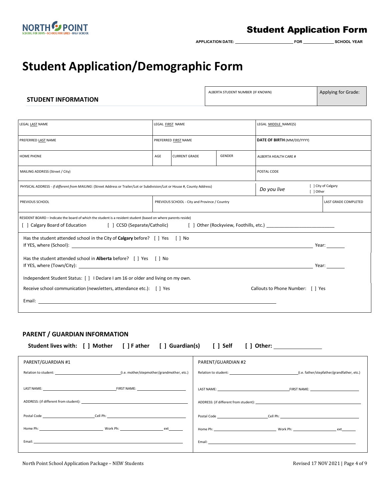

### Student Application Form

 $APPLICATION\ DATE:$  **FOR** FOR SCHOOL YEAR

# **Student Application/Demographic Form**

| <b>STUDENT INFORMATION</b>                                                                                                  |                                               |  |  | ALBERTA STUDENT NUMBER (IF KNOWN) |                      |                      | Applying for Grade: |
|-----------------------------------------------------------------------------------------------------------------------------|-----------------------------------------------|--|--|-----------------------------------|----------------------|----------------------|---------------------|
|                                                                                                                             |                                               |  |  |                                   |                      |                      |                     |
| LEGAL LAST NAME                                                                                                             | LEGAL FIRST NAME                              |  |  |                                   | LEGAL MIDDLE NAME(S) |                      |                     |
| PREFERRED LAST NAME                                                                                                         | PREFERRED FIRST NAME                          |  |  | DATE OF BIRTH (MM/DD/YYYY)        |                      |                      |                     |
| HOME PHONE                                                                                                                  | GENDER<br><b>CURRENT GRADE</b><br>AGE         |  |  | ALBERTA HEALTH CARE #             |                      |                      |                     |
| MAILING ADDRESS (Street / City)                                                                                             |                                               |  |  |                                   | POSTAL CODE          |                      |                     |
| PHYSICAL ADDRESS - if different from MAILING: (Street Address or Trailer/Lot or Subdivision/Lot or House #, County Address) |                                               |  |  |                                   | Do you live          | [ ] Other            | [ ] City of Calgary |
| PREVIOUS SCHOOL                                                                                                             | PREVIOUS SCHOOL - City and Province / Country |  |  |                                   |                      | LAST GRADE COMPLETED |                     |
| RESIDENT ROARD - Indicate the board of which the student is a resident student (based on where parents reside)              |                                               |  |  |                                   |                      |                      |                     |

| RESIDENT BOARD - Indicate the board of which the student is a resident student (based on where parents reside)<br>[ ] Calgary Board of Education [ ] CCSD (Separate/Catholic) [ ] Other (Rockyview, Foothills, etc.) [ ] Contentilly, etc. ] |       |
|----------------------------------------------------------------------------------------------------------------------------------------------------------------------------------------------------------------------------------------------|-------|
| Has the student attended school in the City of <b>Calgary</b> before? $\begin{bmatrix} \end{bmatrix}$ Yes $\begin{bmatrix} \end{bmatrix}$ No                                                                                                 | Year: |
| Has the student attended school in <b>Alberta</b> before? [ ] Yes [ ] No                                                                                                                                                                     | Year: |
| Independent Student Status: [ ] I Declare I am 16 or older and living on my own.                                                                                                                                                             |       |
| Receive school communication (newsletters, attendance etc.): [ ] Yes<br>Callouts to Phone Number: [ ] Yes                                                                                                                                    |       |
|                                                                                                                                                                                                                                              |       |

### **PARENT / GUARDIAN INFORMATION**

| Student lives with: [ ] Mother [ ] F ather [ ] Guardian(s) [ ] Self                                                                                                                                                            | Other: _________________<br>$\Box$                                                                                                                                                                                             |
|--------------------------------------------------------------------------------------------------------------------------------------------------------------------------------------------------------------------------------|--------------------------------------------------------------------------------------------------------------------------------------------------------------------------------------------------------------------------------|
| PARENT/GUARDIAN #1                                                                                                                                                                                                             | PARENT/GUARDIAN #2                                                                                                                                                                                                             |
|                                                                                                                                                                                                                                | (i.e. father/stepfather/grandfather, etc.)                                                                                                                                                                                     |
| LAST NAME: THE RESERVE THAT IS A RESERVE TO A RESERVE THAT IS A RESERVE TO A RESERVE THAT IS A RESERVE TO A RESERVE THAT IS A RESERVE TO A RESERVE THAT IS A RESERVE TO A RESERVE THAT IS A RESERVE TO A RESERVE THAT IS A RES |                                                                                                                                                                                                                                |
| ADDRESS: (if different from student): And the state of the state of the state of the state of the state of the state of the state of the state of the state of the state of the state of the state of the state of the state o |                                                                                                                                                                                                                                |
|                                                                                                                                                                                                                                | Postal Code Cell Ph: Cell Ph:                                                                                                                                                                                                  |
| Home Ph: ext                                                                                                                                                                                                                   | Home Ph: ext                                                                                                                                                                                                                   |
|                                                                                                                                                                                                                                | Email: Email: Email: Email: Email: Email: Email: Email: Email: Email: Email: Email: Email: Email: Email: Email: Email: Email: Email: Email: Email: Email: Email: Email: Email: Email: Email: Email: Email: Email: Email: Email |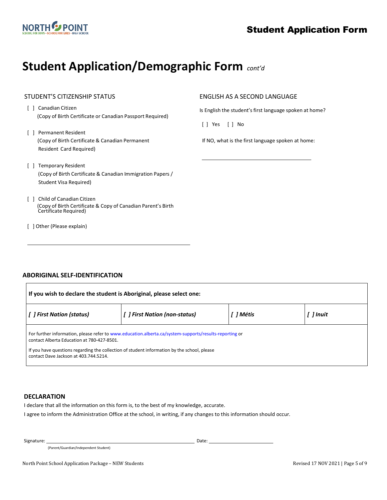

## **Student Application/Demographic Form** *cont'd*

### STUDENT'S CITIZENSHIP STATUS

- [ ] Canadian Citizen (Copy of Birth Certificate or Canadian Passport Required)
- [ ] Permanent Resident (Copy of Birth Certificate & Canadian Permanent Resident Card Required)
- [ ] Temporary Resident (Copy of Birth Certificate & Canadian Immigration Papers / Student Visa Required)
- [ ] Child of Canadian Citizen (Copy of Birth Certificate & Copy of Canadian Parent's Birth Certificate Required)
- [ ] Other (Please explain)

#### ENGLISH AS A SECOND LANGUAGE

Is English the student's first language spoken at home?

[ ] Yes [ ] No

 $\overline{a}$ 

If NO, what is the first language spoken at home:

### **ABORIGINAL SELF-IDENTIFICATION**

| If you wish to declare the student is Aboriginal, please select one:                                                                                                                                                                                                                         |  |  |  |  |  |  |
|----------------------------------------------------------------------------------------------------------------------------------------------------------------------------------------------------------------------------------------------------------------------------------------------|--|--|--|--|--|--|
| [ ] First Nation (non-status)<br>[ ] First Nation (status)<br>1 Métis<br>[ ] Inuit                                                                                                                                                                                                           |  |  |  |  |  |  |
| For further information, please refer to www.education.alberta.ca/system-supports/results-reporting or<br>contact Alberta Education at 780-427-8501.<br>If you have questions regarding the collection of student information by the school, please<br>contact Dave Jackson at 403.744.5214. |  |  |  |  |  |  |

#### **DECLARATION**

I declare that all the information on this form is, to the best of my knowledge, accurate.

I agree to inform the Administration Office at the school, in writing, if any changes to this information should occur.

Signature: Date: Date: Date: Date: Date: Date: Date: Date: Date: Date: Date: Date: Date: Date: Date: Date: Date: Date: Date: Date: Date: Date: Date: Date: Date: Date: Date: Date: Date: Date: Date: Date: Date: Date: Date: D

 $\mathbf{r}$ 

(Parent/Guardian/Independent Student)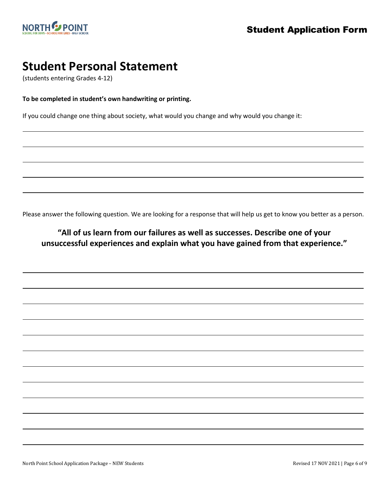L

L

l

L

l

l

L

L

L

L

L

L

L

L

L

L

L

# **Student Personal Statement**<br>(students entering Grades 4-12)

**To be completed in student's own handwriting or printing.**

If you could change one thing about society, what would you change and why would you change it:

Please answer the following question. We are looking for a response that will help us get to know you better as a person.

### **"All of us learn from our failures as well as successes. Describe one of your unsuccessful experiences and explain what you have gained from that experience."**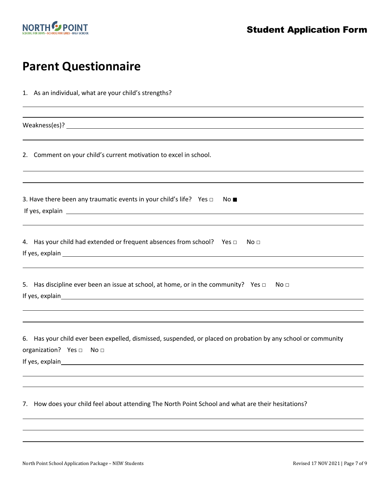

## **Parent Questionnaire**

| 1. As an individual, what are your child's strengths?                                                                                                                |
|----------------------------------------------------------------------------------------------------------------------------------------------------------------------|
| ,我们也不会有什么。""我们的人,我们也不会有什么?""我们的人,我们也不会有什么?""我们的人,我们也不会有什么?""我们的人,我们也不会有什么?""我们的人                                                                                     |
| 2. Comment on your child's current motivation to excel in school.                                                                                                    |
| ,我们也不会有什么。""我们的人,我们也不会有什么?""我们的人,我们也不会有什么?""我们的人,我们也不会有什么?""我们的人,我们也不会有什么?""我们的人<br>3. Have there been any traumatic events in your child's life? Yes $\Box$<br>No ∎ |
| 4. Has your child had extended or frequent absences from school? Yes $\Box$<br>No ⊡                                                                                  |
| 5. Has discipline ever been an issue at school, at home, or in the community? Yes $\Box$ No $\Box$                                                                   |
| 6. Has your child ever been expelled, dismissed, suspended, or placed on probation by any school or community<br>organization? Yes □ No □                            |
| How does your child feel about attending The North Point School and what are their hesitations?<br>7.                                                                |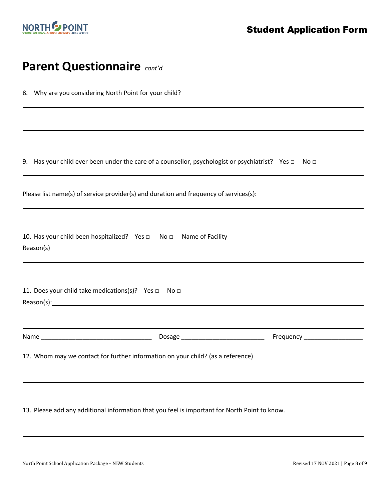

L L l L

l l

L L

l

L L l

L L L

## **Parent Questionnaire** *cont'd*

|  | 8. Why are you considering North Point for your child? |  |
|--|--------------------------------------------------------|--|
|--|--------------------------------------------------------|--|

9. Has your child ever been under the care of a counsellor, psychologist or psychiatrist? Yes □ No □

| Please list name(s) of service provider(s) and duration and frequency of services(s): |
|---------------------------------------------------------------------------------------|
|---------------------------------------------------------------------------------------|

| 10. Has your child been hospitalized? Yes $\Box$ No $\Box$ Name of Facility |  |  |
|-----------------------------------------------------------------------------|--|--|
| Reason(s)                                                                   |  |  |

| 11. Does your child take medications(s)? Yes $\Box$ No $\Box$                                                                                                                                                                  |        |                             |
|--------------------------------------------------------------------------------------------------------------------------------------------------------------------------------------------------------------------------------|--------|-----------------------------|
| Reason(s): example and a series of the series of the series of the series of the series of the series of the series of the series of the series of the series of the series of the series of the series of the series of the s |        |                             |
|                                                                                                                                                                                                                                |        |                             |
|                                                                                                                                                                                                                                |        |                             |
| Name                                                                                                                                                                                                                           | Dosage | <b>Frequency Example 20</b> |

12. Whom may we contact for further information on your child? (as a reference)

13. Please add any additional information that you feel is important for North Point to know.